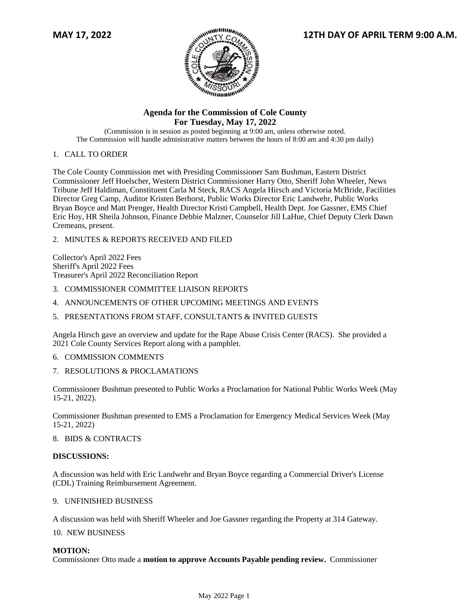

# **Agenda for the Commission of Cole County For Tuesday, May 17, 2022**

(Commission is in session as posted beginning at 9:00 am, unless otherwise noted. The Commission will handle administrative matters between the hours of 8:00 am and 4:30 pm daily)

# 1. CALL TO ORDER

The Cole County Commission met with Presiding Commissioner Sam Bushman, Eastern District Commissioner Jeff Hoelscher, Western District Commissioner Harry Otto, Sheriff John Wheeler, News Tribune Jeff Haldiman, Constituent Carla M Steck, RACS Angela Hirsch and Victoria McBride, Facilities Director Greg Camp, Auditor Kristen Berhorst, Public Works Director Eric Landwehr, Public Works Bryan Boyce and Matt Prenger, Health Director Kristi Campbell, Health Dept. Joe Gassner, EMS Chief Eric Hoy, HR Sheila Johnson, Finance Debbie Malzner, Counselor Jill LaHue, Chief Deputy Clerk Dawn Cremeans, present.

2. MINUTES & REPORTS RECEIVED AND FILED

Collector's April 2022 Fees Sheriff's April 2022 Fees Treasurer's April 2022 Reconciliation Report

- 3. COMMISSIONER COMMITTEE LIAISON REPORTS
- 4. ANNOUNCEMENTS OF OTHER UPCOMING MEETINGS AND EVENTS
- 5. PRESENTATIONS FROM STAFF, CONSULTANTS & INVITED GUESTS

Angela Hirsch gave an overview and update for the Rape Abuse Crisis Center (RACS). She provided a 2021 Cole County Services Report along with a pamphlet.

- 6. COMMISSION COMMENTS
- 7. RESOLUTIONS & PROCLAMATIONS

Commissioner Bushman presented to Public Works a Proclamation for National Public Works Week (May 15-21, 2022).

Commissioner Bushman presented to EMS a Proclamation for Emergency Medical Services Week (May 15-21, 2022)

#### 8. BIDS & CONTRACTS

# **DISCUSSIONS:**

A discussion was held with Eric Landwehr and Bryan Boyce regarding a Commercial Driver's License (CDL) Training Reimbursement Agreement.

## 9. UNFINISHED BUSINESS

A discussion was held with Sheriff Wheeler and Joe Gassner regarding the Property at 314 Gateway.

10. NEW BUSINESS

# **MOTION:**

Commissioner Otto made a **motion to approve Accounts Payable pending review.** Commissioner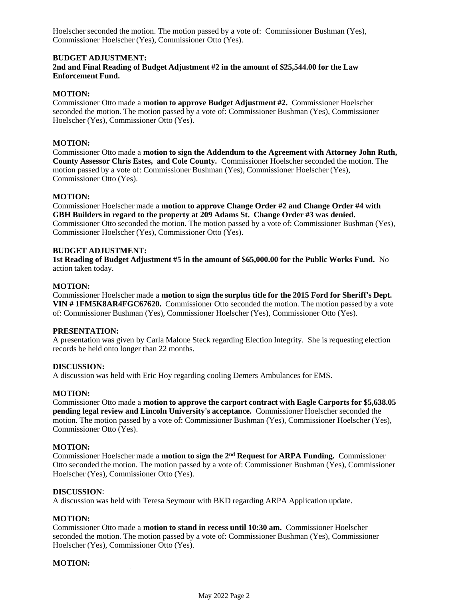Hoelscher seconded the motion. The motion passed by a vote of: Commissioner Bushman (Yes), Commissioner Hoelscher (Yes), Commissioner Otto (Yes).

# **BUDGET ADJUSTMENT:**

## **2nd and Final Reading of Budget Adjustment #2 in the amount of \$25,544.00 for the Law Enforcement Fund.**

## **MOTION:**

Commissioner Otto made a **motion to approve Budget Adjustment #2.** Commissioner Hoelscher seconded the motion. The motion passed by a vote of: Commissioner Bushman (Yes), Commissioner Hoelscher (Yes), Commissioner Otto (Yes).

### **MOTION:**

Commissioner Otto made a **motion to sign the Addendum to the Agreement with Attorney John Ruth, County Assessor Chris Estes, and Cole County.** Commissioner Hoelscher seconded the motion. The motion passed by a vote of: Commissioner Bushman (Yes), Commissioner Hoelscher (Yes), Commissioner Otto (Yes).

### **MOTION:**

Commissioner Hoelscher made a **motion to approve Change Order #2 and Change Order #4 with GBH Builders in regard to the property at 209 Adams St. Change Order #3 was denied.**  Commissioner Otto seconded the motion. The motion passed by a vote of: Commissioner Bushman (Yes), Commissioner Hoelscher (Yes), Commissioner Otto (Yes).

## **BUDGET ADJUSTMENT:**

**1st Reading of Budget Adjustment #5 in the amount of \$65,000.00 for the Public Works Fund.** No action taken today.

#### **MOTION:**

Commissioner Hoelscher made a **motion to sign the surplus title for the 2015 Ford for Sheriff's Dept. VIN # 1FM5K8AR4FGC67620.** Commissioner Otto seconded the motion. The motion passed by a vote of: Commissioner Bushman (Yes), Commissioner Hoelscher (Yes), Commissioner Otto (Yes).

#### **PRESENTATION:**

A presentation was given by Carla Malone Steck regarding Election Integrity. She is requesting election records be held onto longer than 22 months.

#### **DISCUSSION:**

A discussion was held with Eric Hoy regarding cooling Demers Ambulances for EMS.

#### **MOTION:**

Commissioner Otto made a **motion to approve the carport contract with Eagle Carports for \$5,638.05 pending legal review and Lincoln University's acceptance.** Commissioner Hoelscher seconded the motion. The motion passed by a vote of: Commissioner Bushman (Yes), Commissioner Hoelscher (Yes), Commissioner Otto (Yes).

#### **MOTION:**

Commissioner Hoelscher made a **motion to sign the 2nd Request for ARPA Funding.** Commissioner Otto seconded the motion. The motion passed by a vote of: Commissioner Bushman (Yes), Commissioner Hoelscher (Yes), Commissioner Otto (Yes).

#### **DISCUSSION**:

A discussion was held with Teresa Seymour with BKD regarding ARPA Application update.

# **MOTION:**

Commissioner Otto made a **motion to stand in recess until 10:30 am.** Commissioner Hoelscher seconded the motion. The motion passed by a vote of: Commissioner Bushman (Yes), Commissioner Hoelscher (Yes), Commissioner Otto (Yes).

### **MOTION:**